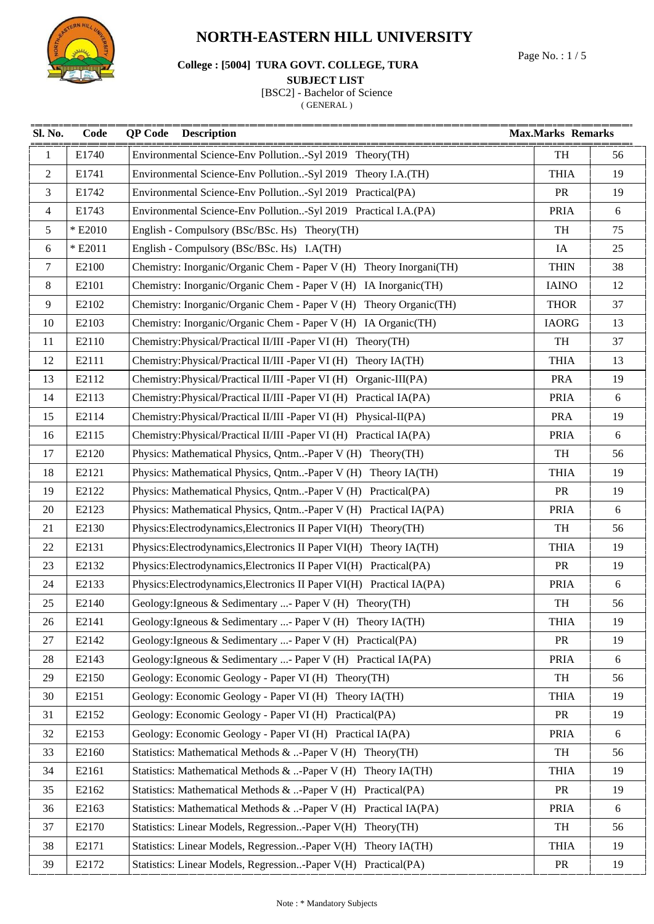

# Page No. : 1 / 5 **College : [5004] TURA GOVT. COLLEGE, TURA**

#### **SUBJECT LIST**

[BSC2] - Bachelor of Science

| Sl. No.        | Code    | <b>QP Code</b> Description                                           | <b>Max.Marks Remarks</b> |    |
|----------------|---------|----------------------------------------------------------------------|--------------------------|----|
| $\mathbf{1}$   | E1740   | Environmental Science-Env Pollution-Syl 2019 Theory(TH)              | TH                       | 56 |
| $\overline{2}$ | E1741   | Environmental Science-Env Pollution-Syl 2019 Theory I.A.(TH)         | <b>THIA</b>              | 19 |
| 3              | E1742   | Environmental Science-Env Pollution-Syl 2019 Practical(PA)           | PR                       | 19 |
| $\overline{4}$ | E1743   | Environmental Science-Env Pollution-Syl 2019 Practical I.A.(PA)      | <b>PRIA</b>              | 6  |
| 5              | * E2010 | English - Compulsory (BSc/BSc. Hs) Theory (TH)                       | TH                       | 75 |
| 6              | * E2011 | English - Compulsory (BSc/BSc. Hs) I.A(TH)                           | IA                       | 25 |
| $\tau$         | E2100   | Chemistry: Inorganic/Organic Chem - Paper V (H) Theory Inorgani(TH)  | <b>THIN</b>              | 38 |
| 8              | E2101   | Chemistry: Inorganic/Organic Chem - Paper V (H) IA Inorganic(TH)     | <b>IAINO</b>             | 12 |
| 9              | E2102   | Chemistry: Inorganic/Organic Chem - Paper V (H) Theory Organic (TH)  | <b>THOR</b>              | 37 |
| 10             | E2103   | Chemistry: Inorganic/Organic Chem - Paper V (H) IA Organic(TH)       | <b>IAORG</b>             | 13 |
| 11             | E2110   | Chemistry: Physical/Practical II/III - Paper VI (H) Theory (TH)      | TH                       | 37 |
| 12             | E2111   | Chemistry: Physical/Practical II/III - Paper VI (H) Theory IA(TH)    | <b>THIA</b>              | 13 |
| 13             | E2112   | Chemistry: Physical/Practical II/III - Paper VI (H) Organic-III(PA)  | <b>PRA</b>               | 19 |
| 14             | E2113   | Chemistry: Physical/Practical II/III - Paper VI (H) Practical IA(PA) | <b>PRIA</b>              | 6  |
| 15             | E2114   | Chemistry: Physical/Practical II/III - Paper VI (H) Physical-II(PA)  | <b>PRA</b>               | 19 |
| 16             | E2115   | Chemistry: Physical/Practical II/III - Paper VI (H) Practical IA(PA) | <b>PRIA</b>              | 6  |
| 17             | E2120   | Physics: Mathematical Physics, Qntm-Paper V (H) Theory(TH)           | TH                       | 56 |
| 18             | E2121   | Physics: Mathematical Physics, Qntm-Paper V (H) Theory IA(TH)        | <b>THIA</b>              | 19 |
| 19             | E2122   | Physics: Mathematical Physics, Qntm-Paper V (H) Practical(PA)        | PR                       | 19 |
| 20             | E2123   | Physics: Mathematical Physics, Qntm-Paper V (H) Practical IA(PA)     | <b>PRIA</b>              | 6  |
| 21             | E2130   | Physics:Electrodynamics,Electronics II Paper VI(H) Theory(TH)        | TH                       | 56 |
| 22             | E2131   | Physics:Electrodynamics,Electronics II Paper VI(H) Theory IA(TH)     | <b>THIA</b>              | 19 |
| 23             | E2132   | Physics:Electrodynamics,Electronics II Paper VI(H) Practical(PA)     | PR                       | 19 |
| 24             | E2133   | Physics:Electrodynamics,Electronics II Paper VI(H) Practical IA(PA)  | <b>PRIA</b>              | 6  |
| 25             | E2140   | Geology: Igneous & Sedimentary - Paper V (H) Theory (TH)             | TH                       | 56 |
| 26             | E2141   | Geology: Igneous & Sedimentary - Paper V (H) Theory IA(TH)           | <b>THIA</b>              | 19 |
| 27             | E2142   | Geology: Igneous & Sedimentary - Paper V (H) Practical (PA)          | PR                       | 19 |
| 28             | E2143   | Geology: Igneous & Sedimentary - Paper V (H) Practical IA(PA)        | <b>PRIA</b>              | 6  |
| 29             | E2150   | Geology: Economic Geology - Paper VI (H) Theory (TH)                 | TH                       | 56 |
| 30             | E2151   | Geology: Economic Geology - Paper VI (H) Theory IA(TH)               | <b>THIA</b>              | 19 |
| 31             | E2152   | Geology: Economic Geology - Paper VI (H) Practical(PA)               | PR                       | 19 |
| 32             | E2153   | Geology: Economic Geology - Paper VI (H) Practical IA(PA)            | <b>PRIA</b>              | 6  |
| 33             | E2160   | Statistics: Mathematical Methods & -Paper V (H)<br>Theory(TH)        | TH                       | 56 |
| 34             | E2161   | Statistics: Mathematical Methods & -Paper V (H)<br>Theory IA(TH)     | <b>THIA</b>              | 19 |
| 35             | E2162   | Statistics: Mathematical Methods & -Paper V (H)<br>Practical(PA)     | PR                       | 19 |
| 36             | E2163   | Statistics: Mathematical Methods & -Paper V (H)<br>Practical IA(PA)  | <b>PRIA</b>              | 6  |
| 37             | E2170   | Statistics: Linear Models, Regression-Paper V(H)<br>Theory(TH)       | TH                       | 56 |
| 38             | E2171   | Statistics: Linear Models, Regression-Paper V(H)<br>Theory IA(TH)    | <b>THIA</b>              | 19 |
| 39             | E2172   | Statistics: Linear Models, Regression-Paper V(H) Practical(PA)       | PR                       | 19 |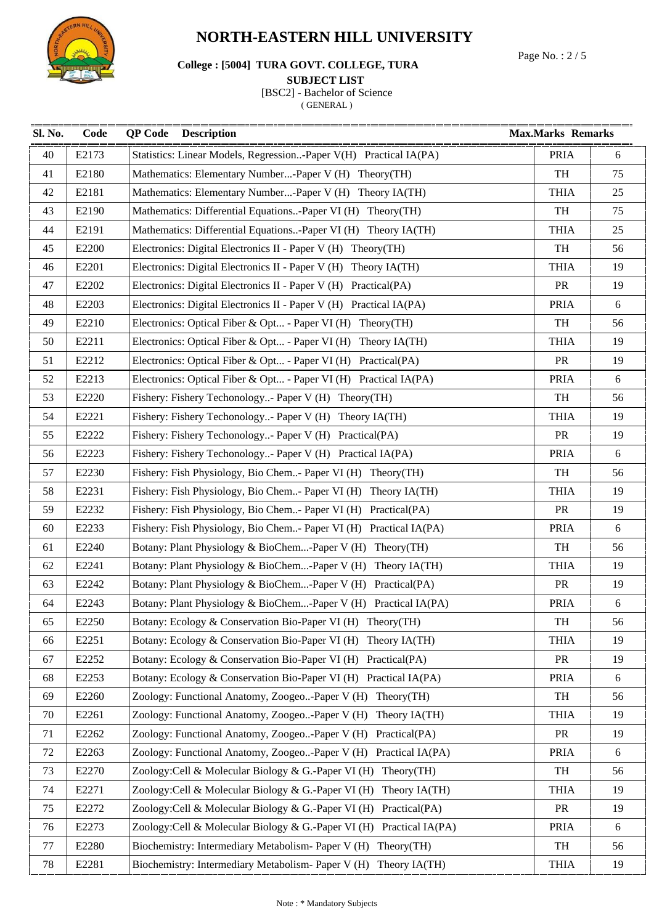

# Page No. : 2 / 5 **College : [5004] TURA GOVT. COLLEGE, TURA**

#### **SUBJECT LIST**

[BSC2] - Bachelor of Science

| Sl. No. | Code  | <b>Description</b><br><b>QP</b> Code                                |             | <b>Max.Marks Remarks</b> |  |
|---------|-------|---------------------------------------------------------------------|-------------|--------------------------|--|
| 40      | E2173 | Statistics: Linear Models, Regression-Paper V(H) Practical IA(PA)   | <b>PRIA</b> | 6                        |  |
| 41      | E2180 | Mathematics: Elementary Number-Paper V (H) Theory(TH)               | TH          | 75                       |  |
| 42      | E2181 | Mathematics: Elementary Number-Paper V (H) Theory IA(TH)            | <b>THIA</b> | 25                       |  |
| 43      | E2190 | Mathematics: Differential Equations-Paper VI (H) Theory (TH)        | TH          | 75                       |  |
| 44      | E2191 | Mathematics: Differential Equations-Paper VI (H) Theory IA(TH)      | <b>THIA</b> | 25                       |  |
| 45      | E2200 | Electronics: Digital Electronics II - Paper V (H) Theory (TH)       | TH          | 56                       |  |
| 46      | E2201 | Electronics: Digital Electronics II - Paper V (H) Theory IA(TH)     | <b>THIA</b> | 19                       |  |
| 47      | E2202 | Electronics: Digital Electronics II - Paper V (H) Practical(PA)     | <b>PR</b>   | 19                       |  |
| 48      | E2203 | Electronics: Digital Electronics II - Paper V (H) Practical IA(PA)  | <b>PRIA</b> | 6                        |  |
| 49      | E2210 | Electronics: Optical Fiber & Opt - Paper VI (H) Theory (TH)         | TH          | 56                       |  |
| 50      | E2211 | Electronics: Optical Fiber & Opt - Paper VI (H) Theory IA(TH)       | <b>THIA</b> | 19                       |  |
| 51      | E2212 | Electronics: Optical Fiber & Opt - Paper VI (H) Practical(PA)       | <b>PR</b>   | 19                       |  |
| 52      | E2213 | Electronics: Optical Fiber & Opt - Paper VI (H) Practical IA(PA)    | <b>PRIA</b> | 6                        |  |
| 53      | E2220 | Fishery: Fishery Techonology- Paper V (H) Theory (TH)               | TH          | 56                       |  |
| 54      | E2221 | Fishery: Fishery Techonology- Paper V (H) Theory IA(TH)             | <b>THIA</b> | 19                       |  |
| 55      | E2222 | Fishery: Fishery Techonology- Paper V (H) Practical(PA)             | <b>PR</b>   | 19                       |  |
| 56      | E2223 | Fishery: Fishery Techonology- Paper V (H) Practical IA(PA)          | <b>PRIA</b> | 6                        |  |
| 57      | E2230 | Fishery: Fish Physiology, Bio Chem- Paper VI (H) Theory (TH)        | TH          | 56                       |  |
| 58      | E2231 | Fishery: Fish Physiology, Bio Chem- Paper VI (H) Theory IA(TH)      | <b>THIA</b> | 19                       |  |
| 59      | E2232 | Fishery: Fish Physiology, Bio Chem- Paper VI (H) Practical(PA)      | <b>PR</b>   | 19                       |  |
| 60      | E2233 | Fishery: Fish Physiology, Bio Chem- Paper VI (H) Practical IA(PA)   | <b>PRIA</b> | 6                        |  |
| 61      | E2240 | Botany: Plant Physiology & BioChem-Paper V (H) Theory (TH)          | TH          | 56                       |  |
| 62      | E2241 | Botany: Plant Physiology & BioChem-Paper V (H) Theory IA(TH)        | <b>THIA</b> | 19                       |  |
| 63      | E2242 | Botany: Plant Physiology & BioChem-Paper V (H) Practical(PA)        | <b>PR</b>   | 19                       |  |
| 64      | E2243 | Botany: Plant Physiology & BioChem-Paper V (H) Practical IA(PA)     | <b>PRIA</b> | $\sqrt{6}$               |  |
| 65      | E2250 | Botany: Ecology & Conservation Bio-Paper VI (H) Theory (TH)         | TH          | 56                       |  |
| 66      | E2251 | Botany: Ecology & Conservation Bio-Paper VI (H)<br>Theory IA(TH)    | <b>THIA</b> | 19                       |  |
| 67      | E2252 | Botany: Ecology & Conservation Bio-Paper VI (H) Practical(PA)       | <b>PR</b>   | 19                       |  |
| 68      | E2253 | Botany: Ecology & Conservation Bio-Paper VI (H) Practical IA(PA)    | <b>PRIA</b> | 6                        |  |
| 69      | E2260 | Zoology: Functional Anatomy, Zoogeo-Paper V (H) Theory(TH)          | TH          | 56                       |  |
| 70      | E2261 | Zoology: Functional Anatomy, Zoogeo-Paper V (H) Theory IA(TH)       | <b>THIA</b> | 19                       |  |
| 71      | E2262 | Zoology: Functional Anatomy, Zoogeo-Paper V (H) Practical(PA)       | PR          | 19                       |  |
| 72      | E2263 | Zoology: Functional Anatomy, Zoogeo-Paper V (H) Practical IA(PA)    | <b>PRIA</b> | 6                        |  |
| 73      | E2270 | Zoology:Cell & Molecular Biology & G.-Paper VI (H) Theory(TH)       | TH          | 56                       |  |
| 74      | E2271 | Zoology:Cell & Molecular Biology & G.-Paper VI (H)<br>Theory IA(TH) | <b>THIA</b> | 19                       |  |
| 75      | E2272 | Zoology:Cell & Molecular Biology & G.-Paper VI (H)<br>Practical(PA) | <b>PR</b>   | 19                       |  |
| 76      | E2273 | Zoology:Cell & Molecular Biology & G.-Paper VI (H) Practical IA(PA) | <b>PRIA</b> | 6                        |  |
| 77      | E2280 | Biochemistry: Intermediary Metabolism- Paper V (H)<br>Theory(TH)    | TH          | 56                       |  |
| 78      | E2281 | Biochemistry: Intermediary Metabolism- Paper V (H) Theory IA(TH)    | <b>THIA</b> | 19                       |  |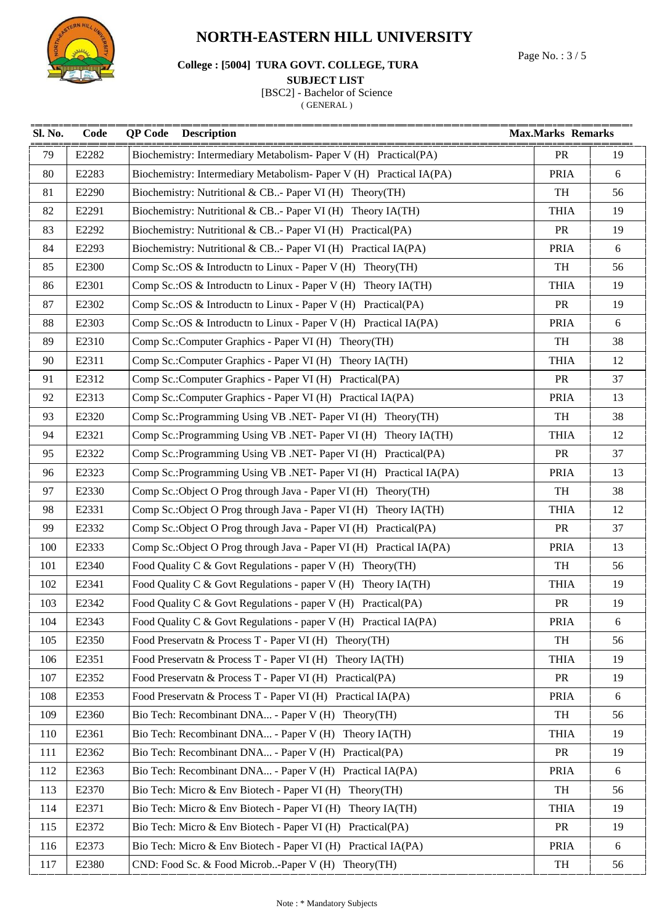

Page No. : 3 / 5 **College : [5004] TURA GOVT. COLLEGE, TURA** 

#### **SUBJECT LIST**

[BSC2] - Bachelor of Science

| Sl. No. | Code  | <b>QP</b> Code<br><b>Description</b>                                 | <b>Max.Marks Remarks</b> |    |
|---------|-------|----------------------------------------------------------------------|--------------------------|----|
| 79      | E2282 | Biochemistry: Intermediary Metabolism- Paper V (H) Practical(PA)     | <b>PR</b>                | 19 |
| 80      | E2283 | Biochemistry: Intermediary Metabolism- Paper V (H) Practical IA(PA)  | <b>PRIA</b>              | 6  |
| 81      | E2290 | Biochemistry: Nutritional & CB- Paper VI (H) Theory (TH)             | TH                       | 56 |
| 82      | E2291 | Biochemistry: Nutritional & CB- Paper VI (H) Theory IA(TH)           | <b>THIA</b>              | 19 |
| 83      | E2292 | Biochemistry: Nutritional & CB. - Paper VI (H) Practical (PA)        | <b>PR</b>                | 19 |
| 84      | E2293 | Biochemistry: Nutritional & CB. - Paper VI (H) Practical IA(PA)      | <b>PRIA</b>              | 6  |
| 85      | E2300 | Comp Sc.: OS & Introductn to Linux - Paper V (H) Theory (TH)         | TH                       | 56 |
| 86      | E2301 | Comp Sc.: OS & Introductn to Linux - Paper V (H) Theory IA(TH)       | <b>THIA</b>              | 19 |
| 87      | E2302 | Comp Sc.: OS & Introductn to Linux - Paper V (H) Practical (PA)      | <b>PR</b>                | 19 |
| 88      | E2303 | Comp Sc.: OS & Introductn to Linux - Paper V (H) Practical IA(PA)    | <b>PRIA</b>              | 6  |
| 89      | E2310 | Comp Sc.:Computer Graphics - Paper VI (H) Theory (TH)                | TH                       | 38 |
| 90      | E2311 | Comp Sc.: Computer Graphics - Paper VI (H) Theory IA(TH)             | <b>THIA</b>              | 12 |
| 91      | E2312 | Comp Sc.:Computer Graphics - Paper VI (H) Practical(PA)              | <b>PR</b>                | 37 |
| 92      | E2313 | Comp Sc.: Computer Graphics - Paper VI (H) Practical IA(PA)          | <b>PRIA</b>              | 13 |
| 93      | E2320 | Comp Sc.: Programming Using VB .NET- Paper VI (H) Theory (TH)        | TH                       | 38 |
| 94      | E2321 | Comp Sc.: Programming Using VB .NET- Paper VI (H) Theory IA(TH)      | <b>THIA</b>              | 12 |
| 95      | E2322 | Comp Sc.: Programming Using VB .NET- Paper VI (H) Practical (PA)     | <b>PR</b>                | 37 |
| 96      | E2323 | Comp Sc.: Programming Using VB .NET- Paper VI (H) Practical IA(PA)   | <b>PRIA</b>              | 13 |
| 97      | E2330 | Comp Sc.: Object O Prog through Java - Paper VI (H) Theory (TH)      | TH                       | 38 |
| 98      | E2331 | Comp Sc.: Object O Prog through Java - Paper VI (H) Theory IA(TH)    | <b>THIA</b>              | 12 |
| 99      | E2332 | Comp Sc.: Object O Prog through Java - Paper VI (H) Practical (PA)   | <b>PR</b>                | 37 |
| 100     | E2333 | Comp Sc.: Object O Prog through Java - Paper VI (H) Practical IA(PA) | <b>PRIA</b>              | 13 |
| 101     | E2340 | Food Quality C & Govt Regulations - paper V (H) Theory (TH)          | TH                       | 56 |
| 102     | E2341 | Food Quality C & Govt Regulations - paper V (H) Theory IA(TH)        | <b>THIA</b>              | 19 |
| 103     | E2342 | Food Quality C & Govt Regulations - paper V (H) Practical(PA)        | PR                       | 19 |
| 104     | E2343 | Food Quality C & Govt Regulations - paper V (H) Practical IA(PA)     | <b>PRIA</b>              | 6  |
| 105     | E2350 | Food Preservatn & Process T - Paper VI (H) Theory (TH)               | TH                       | 56 |
| 106     | E2351 | Food Preservatn & Process T - Paper VI (H) Theory IA(TH)             | <b>THIA</b>              | 19 |
| 107     | E2352 | Food Preservatn & Process T - Paper VI (H) Practical(PA)             | <b>PR</b>                | 19 |
| 108     | E2353 | Food Preservatn & Process T - Paper VI (H) Practical IA(PA)          | <b>PRIA</b>              | 6  |
| 109     | E2360 | Bio Tech: Recombinant DNA - Paper V (H) Theory (TH)                  | TH                       | 56 |
| 110     | E2361 | Bio Tech: Recombinant DNA - Paper V (H) Theory IA(TH)                | <b>THIA</b>              | 19 |
| 111     | E2362 | Bio Tech: Recombinant DNA - Paper V (H) Practical(PA)                | <b>PR</b>                | 19 |
| 112     | E2363 | Bio Tech: Recombinant DNA - Paper V (H) Practical IA(PA)             | <b>PRIA</b>              | 6  |
| 113     | E2370 | Bio Tech: Micro & Env Biotech - Paper VI (H) Theory (TH)             | TH                       | 56 |
| 114     | E2371 | Bio Tech: Micro & Env Biotech - Paper VI (H)<br>Theory IA(TH)        | <b>THIA</b>              | 19 |
| 115     | E2372 | Bio Tech: Micro & Env Biotech - Paper VI (H)<br>Practical(PA)        | PR                       | 19 |
| 116     | E2373 | Bio Tech: Micro & Env Biotech - Paper VI (H) Practical IA(PA)        | <b>PRIA</b>              | 6  |
| 117     | E2380 | CND: Food Sc. & Food Microb-Paper V (H) Theory (TH)                  | TH                       | 56 |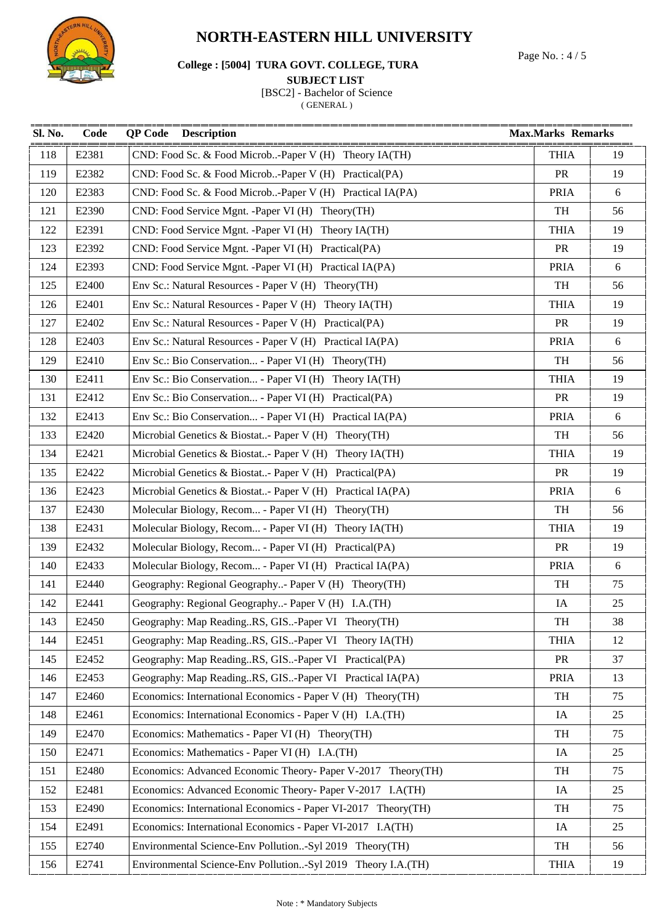

# Page No. : 4 / 5 **College : [5004] TURA GOVT. COLLEGE, TURA**

#### **SUBJECT LIST**

[BSC2] - Bachelor of Science

| Sl. No. | Code  | <b>Description</b><br>QP Code                                 | <b>Max.Marks Remarks</b> |        |
|---------|-------|---------------------------------------------------------------|--------------------------|--------|
| 118     | E2381 | CND: Food Sc. & Food Microb-Paper V (H) Theory IA(TH)         | <b>THIA</b>              | 19     |
| 119     | E2382 | CND: Food Sc. & Food Microb-Paper V (H) Practical(PA)         | <b>PR</b>                | 19     |
| 120     | E2383 | CND: Food Sc. & Food Microb-Paper V (H) Practical IA(PA)      | <b>PRIA</b>              | $6\,$  |
| 121     | E2390 | CND: Food Service Mgnt. - Paper VI (H) Theory (TH)            | TH                       | 56     |
| 122     | E2391 | CND: Food Service Mgnt. -Paper VI (H) Theory IA(TH)           | <b>THIA</b>              | 19     |
| 123     | E2392 | CND: Food Service Mgnt. -Paper VI (H) Practical(PA)           | <b>PR</b>                | 19     |
| 124     | E2393 | CND: Food Service Mgnt. -Paper VI (H) Practical IA(PA)        | <b>PRIA</b>              | 6      |
| 125     | E2400 | Env Sc.: Natural Resources - Paper V (H) Theory (TH)          | TH                       | 56     |
| 126     | E2401 | Env Sc.: Natural Resources - Paper V (H) Theory IA(TH)        | <b>THIA</b>              | 19     |
| 127     | E2402 | Env Sc.: Natural Resources - Paper V (H) Practical (PA)       | <b>PR</b>                | 19     |
| 128     | E2403 | Env Sc.: Natural Resources - Paper V (H) Practical IA(PA)     | <b>PRIA</b>              | 6      |
| 129     | E2410 | Env Sc.: Bio Conservation - Paper VI (H) Theory (TH)          | TH                       | 56     |
| 130     | E2411 | Env Sc.: Bio Conservation - Paper VI (H) Theory IA(TH)        | <b>THIA</b>              | 19     |
| 131     | E2412 | Env Sc.: Bio Conservation - Paper VI (H) Practical(PA)        | <b>PR</b>                | 19     |
| 132     | E2413 | Env Sc.: Bio Conservation - Paper VI (H) Practical IA(PA)     | <b>PRIA</b>              | $6\,$  |
| 133     | E2420 | Microbial Genetics & Biostat- Paper V (H) Theory (TH)         | TH                       | 56     |
| 134     | E2421 | Microbial Genetics & Biostat- Paper V (H) Theory IA(TH)       | <b>THIA</b>              | 19     |
| 135     | E2422 | Microbial Genetics & Biostat- Paper V (H) Practical(PA)       | <b>PR</b>                | 19     |
| 136     | E2423 | Microbial Genetics & Biostat- Paper V (H) Practical IA(PA)    | <b>PRIA</b>              | 6      |
| 137     | E2430 | Molecular Biology, Recom - Paper VI (H) Theory (TH)           | TH                       | 56     |
| 138     | E2431 | Molecular Biology, Recom - Paper VI (H) Theory IA(TH)         | <b>THIA</b>              | 19     |
| 139     | E2432 | Molecular Biology, Recom - Paper VI (H) Practical (PA)        | <b>PR</b>                | 19     |
| 140     | E2433 | Molecular Biology, Recom - Paper VI (H) Practical IA(PA)      | <b>PRIA</b>              | 6      |
| 141     | E2440 | Geography: Regional Geography- Paper V (H) Theory (TH)        | TH                       | 75     |
| 142     | E2441 | Geography: Regional Geography- Paper V (H) I.A.(TH)           | IA                       | $25\,$ |
| 143     | E2450 | Geography: Map ReadingRS, GIS-Paper VI Theory(TH)             | TH                       | 38     |
| 144     | E2451 | Geography: Map ReadingRS, GIS-Paper VI Theory IA(TH)          | <b>THIA</b>              | 12     |
| 145     | E2452 | Geography: Map ReadingRS, GIS-Paper VI Practical(PA)          | PR                       | 37     |
| 146     | E2453 | Geography: Map ReadingRS, GIS-Paper VI Practical IA(PA)       | <b>PRIA</b>              | 13     |
| 147     | E2460 | Economics: International Economics - Paper V (H) Theory (TH)  | TH                       | 75     |
| 148     | E2461 | Economics: International Economics - Paper V (H) I.A.(TH)     | IA                       | 25     |
| 149     | E2470 | Economics: Mathematics - Paper VI (H) Theory (TH)             | TH                       | 75     |
| 150     | E2471 | Economics: Mathematics - Paper VI (H) I.A. (TH)               | IA                       | 25     |
| 151     | E2480 | Economics: Advanced Economic Theory- Paper V-2017 Theory(TH)  | TH                       | 75     |
| 152     | E2481 | Economics: Advanced Economic Theory- Paper V-2017 I.A(TH)     | IA                       | 25     |
| 153     | E2490 | Economics: International Economics - Paper VI-2017 Theory(TH) | TH                       | 75     |
| 154     | E2491 | Economics: International Economics - Paper VI-2017 I.A(TH)    | IA                       | 25     |
| 155     | E2740 | Environmental Science-Env Pollution-Syl 2019 Theory(TH)       | TH                       | 56     |
| 156     | E2741 | Environmental Science-Env Pollution-Syl 2019 Theory I.A.(TH)  | <b>THIA</b>              | 19     |